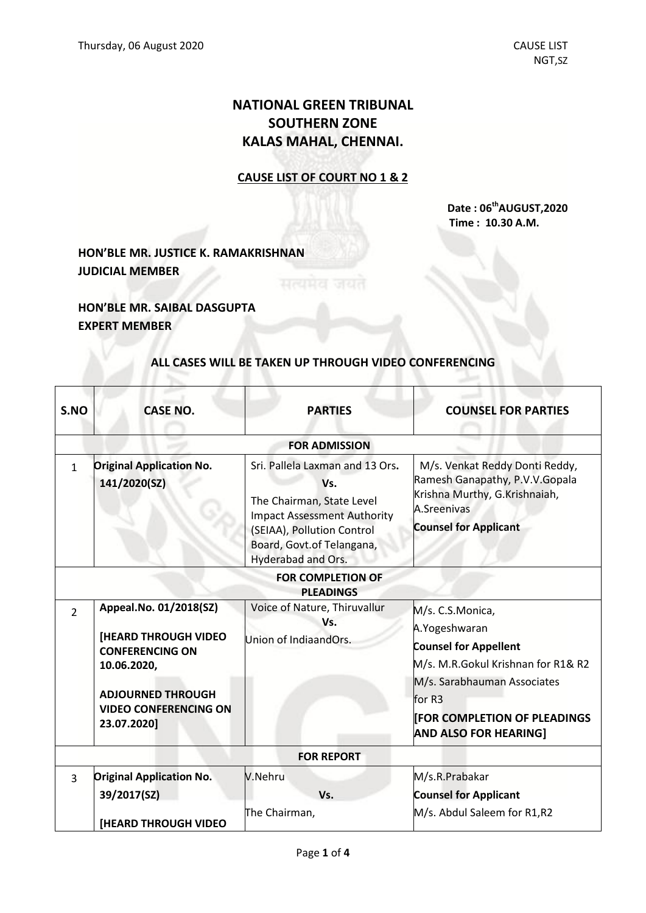## **NATIONAL GREEN TRIBUNAL SOUTHERN ZONE KALAS MAHAL, CHENNAI.**

## **CAUSE LIST OF COURT NO 1 & 2**

**Date : 06 thAUGUST,2020 Time : 10.30 A.M.**

**HON'BLE MR. JUSTICE K. RAMAKRISHNAN JUDICIAL MEMBER** सत्यमेव जयते

**HON'BLE MR. SAIBAL DASGUPTA EXPERT MEMBER**

## **ALL CASES WILL BE TAKEN UP THROUGH VIDEO CONFERENCING**

| S.NO           | <b>CASE NO.</b>                                                                                                                                                           | <b>PARTIES</b>                                                                                                                                                                             | <b>COUNSEL FOR PARTIES</b>                                                                                                                                                                                             |
|----------------|---------------------------------------------------------------------------------------------------------------------------------------------------------------------------|--------------------------------------------------------------------------------------------------------------------------------------------------------------------------------------------|------------------------------------------------------------------------------------------------------------------------------------------------------------------------------------------------------------------------|
|                |                                                                                                                                                                           | <b>FOR ADMISSION</b>                                                                                                                                                                       |                                                                                                                                                                                                                        |
| $\mathbf{1}$   | <b>Original Application No.</b><br>141/2020(SZ)                                                                                                                           | Sri. Pallela Laxman and 13 Ors.<br>Vs.<br>The Chairman, State Level<br><b>Impact Assessment Authority</b><br>(SEIAA), Pollution Control<br>Board, Govt.of Telangana,<br>Hyderabad and Ors. | M/s. Venkat Reddy Donti Reddy,<br>Ramesh Ganapathy, P.V.V.Gopala<br>Krishna Murthy, G.Krishnaiah,<br>A.Sreenivas<br><b>Counsel for Applicant</b>                                                                       |
|                |                                                                                                                                                                           | <b>FOR COMPLETION OF</b><br><b>PLEADINGS</b>                                                                                                                                               |                                                                                                                                                                                                                        |
| $\overline{2}$ | Appeal.No. 01/2018(SZ)<br><b>[HEARD THROUGH VIDEO</b><br><b>CONFERENCING ON</b><br>10.06.2020,<br><b>ADJOURNED THROUGH</b><br><b>VIDEO CONFERENCING ON</b><br>23.07.2020] | Voice of Nature, Thiruvallur<br>Vs.<br>Union of IndiaandOrs.                                                                                                                               | M/s. C.S.Monica,<br>A.Yogeshwaran<br><b>Counsel for Appellent</b><br>M/s. M.R.Gokul Krishnan for R1& R2<br>M/s. Sarabhauman Associates<br>for R3<br><b>FOR COMPLETION OF PLEADINGS</b><br><b>AND ALSO FOR HEARING]</b> |
|                |                                                                                                                                                                           | <b>FOR REPORT</b>                                                                                                                                                                          |                                                                                                                                                                                                                        |
| 3              | <b>Original Application No.</b><br>39/2017(SZ)<br><b>[HEARD THROUGH VIDEO</b>                                                                                             | V.Nehru<br>Vs.<br>The Chairman,                                                                                                                                                            | M/s.R.Prabakar<br><b>Counsel for Applicant</b><br>M/s. Abdul Saleem for R1,R2                                                                                                                                          |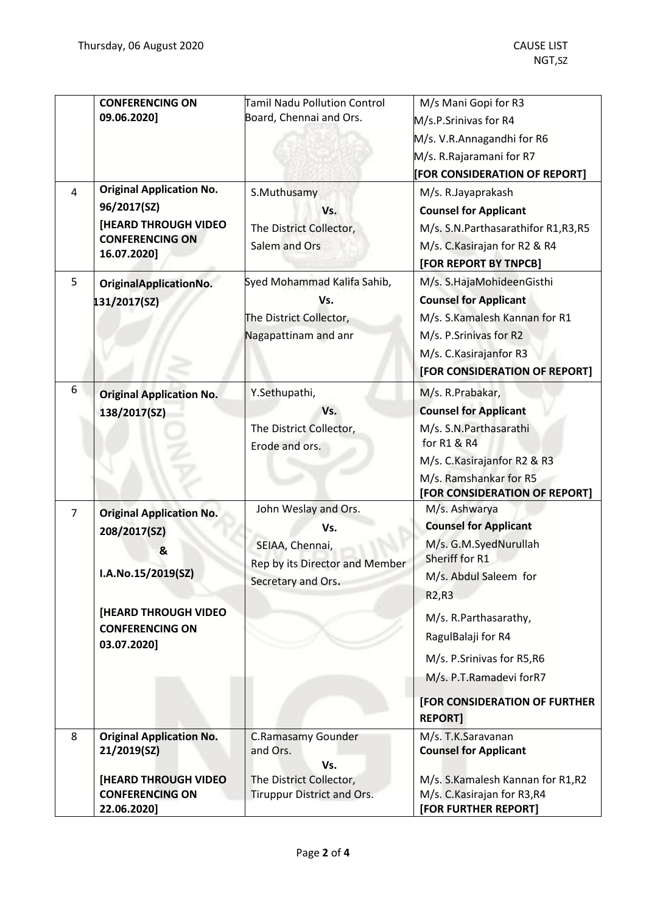|                | <b>CONFERENCING ON</b>          | Tamil Nadu Pollution Control                      | M/s Mani Gopi for R3                                    |
|----------------|---------------------------------|---------------------------------------------------|---------------------------------------------------------|
|                | 09.06.2020]                     | Board, Chennai and Ors.                           | M/s.P.Srinivas for R4                                   |
|                |                                 |                                                   | M/s. V.R.Annagandhi for R6                              |
|                |                                 |                                                   | M/s. R.Rajaramani for R7                                |
|                |                                 |                                                   | [FOR CONSIDERATION OF REPORT]                           |
| 4              | <b>Original Application No.</b> | S.Muthusamy                                       | M/s. R.Jayaprakash                                      |
|                | 96/2017(SZ)                     | Vs.                                               | <b>Counsel for Applicant</b>                            |
|                | [HEARD THROUGH VIDEO            | The District Collector,                           | M/s. S.N.Parthasarathifor R1,R3,R5                      |
|                | <b>CONFERENCING ON</b>          | Salem and Ors                                     | M/s. C. Kasirajan for R2 & R4                           |
|                | 16.07.2020]                     |                                                   | [FOR REPORT BY TNPCB]                                   |
| 5              | OriginalApplicationNo.          | Syed Mohammad Kalifa Sahib,                       | M/s. S.HajaMohideenGisthi                               |
|                | 131/2017(SZ)                    | Vs.                                               | <b>Counsel for Applicant</b>                            |
|                |                                 | The District Collector,                           | M/s. S.Kamalesh Kannan for R1                           |
|                |                                 | Nagapattinam and anr                              | M/s. P.Srinivas for R2                                  |
|                |                                 |                                                   | M/s. C. Kasirajanfor R3                                 |
|                |                                 |                                                   | [FOR CONSIDERATION OF REPORT]                           |
| 6              | <b>Original Application No.</b> | Y.Sethupathi,                                     | M/s. R.Prabakar,                                        |
|                | 138/2017(SZ)                    | Vs.                                               | <b>Counsel for Applicant</b>                            |
|                |                                 | The District Collector,                           | M/s. S.N. Parthasarathi                                 |
|                |                                 | Erode and ors.                                    | for R1 & R4                                             |
|                |                                 |                                                   | M/s. C. Kasirajanfor R2 & R3                            |
|                |                                 |                                                   | M/s. Ramshankar for R5<br>[FOR CONSIDERATION OF REPORT] |
| $\overline{7}$ | <b>Original Application No.</b> | John Weslay and Ors.                              | M/s. Ashwarya                                           |
|                | 208/2017(SZ)                    | Vs.                                               | <b>Counsel for Applicant</b>                            |
|                | &                               | SEIAA, Chennai,<br>Rep by its Director and Member | M/s. G.M.SyedNurullah<br>Sheriff for R1                 |
|                | I.A.No.15/2019(SZ)              | Secretary and Ors.                                | M/s. Abdul Saleem for                                   |
|                |                                 |                                                   | R <sub>2</sub> ,R <sub>3</sub>                          |
|                | <b>[HEARD THROUGH VIDEO</b>     |                                                   | M/s. R.Parthasarathy,                                   |
|                | <b>CONFERENCING ON</b>          |                                                   | RagulBalaji for R4                                      |
|                | 03.07.2020]                     |                                                   | M/s. P.Srinivas for R5,R6                               |
|                |                                 |                                                   | M/s. P.T.Ramadevi forR7                                 |
|                |                                 |                                                   | [FOR CONSIDERATION OF FURTHER                           |
|                |                                 |                                                   | <b>REPORT1</b>                                          |
| 8              | <b>Original Application No.</b> | C.Ramasamy Gounder                                | M/s. T.K.Saravanan                                      |
|                | 21/2019(SZ)                     | and Ors.<br>Vs.                                   | <b>Counsel for Applicant</b>                            |
|                | <b>[HEARD THROUGH VIDEO</b>     | The District Collector,                           | M/s. S.Kamalesh Kannan for R1,R2                        |
|                | <b>CONFERENCING ON</b>          | Tiruppur District and Ors.                        | M/s. C. Kasirajan for R3, R4                            |
|                | 22.06.2020]                     |                                                   | [FOR FURTHER REPORT]                                    |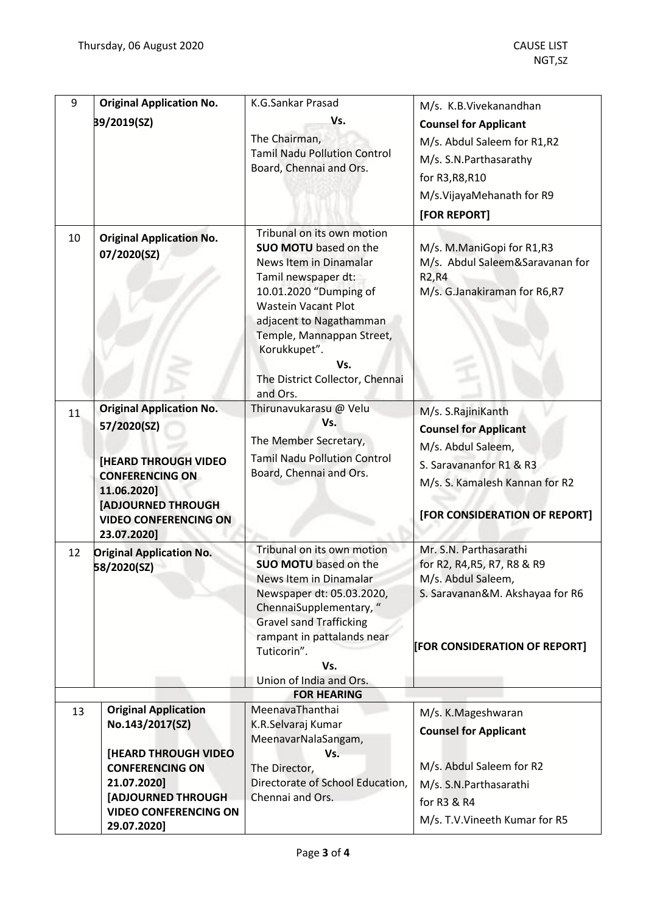| 9  | <b>Original Application No.</b>                                          | K.G.Sankar Prasad                                                                                                                                                                                                                                                                     |                                                                                                                                 |
|----|--------------------------------------------------------------------------|---------------------------------------------------------------------------------------------------------------------------------------------------------------------------------------------------------------------------------------------------------------------------------------|---------------------------------------------------------------------------------------------------------------------------------|
|    |                                                                          |                                                                                                                                                                                                                                                                                       | M/s. K.B.Vivekanandhan                                                                                                          |
|    | 39/2019(SZ)                                                              | Vs.                                                                                                                                                                                                                                                                                   | <b>Counsel for Applicant</b>                                                                                                    |
|    |                                                                          | The Chairman,                                                                                                                                                                                                                                                                         | M/s. Abdul Saleem for R1,R2                                                                                                     |
|    |                                                                          | <b>Tamil Nadu Pollution Control</b>                                                                                                                                                                                                                                                   | M/s. S.N. Parthasarathy                                                                                                         |
|    |                                                                          | Board, Chennai and Ors.                                                                                                                                                                                                                                                               | for R3, R8, R10                                                                                                                 |
|    |                                                                          |                                                                                                                                                                                                                                                                                       |                                                                                                                                 |
|    |                                                                          |                                                                                                                                                                                                                                                                                       | M/s.VijayaMehanath for R9                                                                                                       |
|    |                                                                          |                                                                                                                                                                                                                                                                                       | [FOR REPORT]                                                                                                                    |
| 10 | <b>Original Application No.</b><br>07/2020(SZ)                           | Tribunal on its own motion<br><b>SUO MOTU</b> based on the<br>News Item in Dinamalar<br>Tamil newspaper dt:<br>10.01.2020 "Dumping of<br><b>Wastein Vacant Plot</b><br>adjacent to Nagathamman<br>Temple, Mannappan Street,<br>Korukkupet".<br>Vs.<br>The District Collector, Chennai | M/s. M.ManiGopi for R1,R3<br>M/s. Abdul Saleem&Saravanan for<br>R <sub>2</sub> , R <sub>4</sub><br>M/s. G.Janakiraman for R6,R7 |
|    | <b>Original Application No.</b>                                          | and Ors.<br>Thirunavukarasu @ Velu                                                                                                                                                                                                                                                    |                                                                                                                                 |
| 11 |                                                                          | Vs.                                                                                                                                                                                                                                                                                   | M/s. S.RajiniKanth                                                                                                              |
|    | 57/2020(SZ)                                                              |                                                                                                                                                                                                                                                                                       | <b>Counsel for Applicant</b>                                                                                                    |
|    |                                                                          | The Member Secretary,                                                                                                                                                                                                                                                                 | M/s. Abdul Saleem,                                                                                                              |
|    | <b>[HEARD THROUGH VIDEO</b>                                              | <b>Tamil Nadu Pollution Control</b>                                                                                                                                                                                                                                                   | S. Saravananfor R1 & R3                                                                                                         |
|    | <b>CONFERENCING ON</b>                                                   | Board, Chennai and Ors.                                                                                                                                                                                                                                                               | M/s. S. Kamalesh Kannan for R2                                                                                                  |
|    | 11.06.2020]                                                              |                                                                                                                                                                                                                                                                                       |                                                                                                                                 |
|    | <b>[ADJOURNED THROUGH</b><br><b>VIDEO CONFERENCING ON</b><br>23.07.2020] |                                                                                                                                                                                                                                                                                       | [FOR CONSIDERATION OF REPORT]                                                                                                   |
| 12 | <b>Original Application No.</b>                                          | Tribunal on its own motion                                                                                                                                                                                                                                                            | Mr. S.N. Parthasarathi                                                                                                          |
|    | 58/2020(SZ)                                                              | <b>SUO MOTU</b> based on the                                                                                                                                                                                                                                                          | for R2, R4, R5, R7, R8 & R9                                                                                                     |
|    |                                                                          | News Item in Dinamalar                                                                                                                                                                                                                                                                | M/s. Abdul Saleem,                                                                                                              |
|    |                                                                          | Newspaper dt: 05.03.2020,                                                                                                                                                                                                                                                             | S. Saravanan&M. Akshayaa for R6                                                                                                 |
|    |                                                                          | ChennaiSupplementary, "                                                                                                                                                                                                                                                               |                                                                                                                                 |
|    |                                                                          | <b>Gravel sand Trafficking</b>                                                                                                                                                                                                                                                        |                                                                                                                                 |
|    |                                                                          | rampant in pattalands near<br>Tuticorin".                                                                                                                                                                                                                                             | [FOR CONSIDERATION OF REPORT]                                                                                                   |
|    |                                                                          | Vs.                                                                                                                                                                                                                                                                                   |                                                                                                                                 |
|    |                                                                          | Union of India and Ors.                                                                                                                                                                                                                                                               |                                                                                                                                 |
|    |                                                                          | <b>FOR HEARING</b>                                                                                                                                                                                                                                                                    |                                                                                                                                 |
| 13 | <b>Original Application</b>                                              | MeenavaThanthai                                                                                                                                                                                                                                                                       | M/s. K.Mageshwaran                                                                                                              |
|    | No.143/2017(SZ)                                                          | K.R.Selvaraj Kumar                                                                                                                                                                                                                                                                    | <b>Counsel for Applicant</b>                                                                                                    |
|    |                                                                          | MeenavarNalaSangam,                                                                                                                                                                                                                                                                   |                                                                                                                                 |
|    | <b>[HEARD THROUGH VIDEO</b>                                              | Vs.                                                                                                                                                                                                                                                                                   |                                                                                                                                 |
|    | <b>CONFERENCING ON</b>                                                   | The Director,                                                                                                                                                                                                                                                                         | M/s. Abdul Saleem for R2                                                                                                        |
|    | 21.07.2020]                                                              | Directorate of School Education,                                                                                                                                                                                                                                                      | M/s. S.N. Parthasarathi                                                                                                         |
|    | [ADJOURNED THROUGH<br><b>VIDEO CONFERENCING ON</b>                       | Chennai and Ors.                                                                                                                                                                                                                                                                      | for R3 & R4                                                                                                                     |
|    | 29.07.2020]                                                              |                                                                                                                                                                                                                                                                                       | M/s. T.V. Vineeth Kumar for R5                                                                                                  |